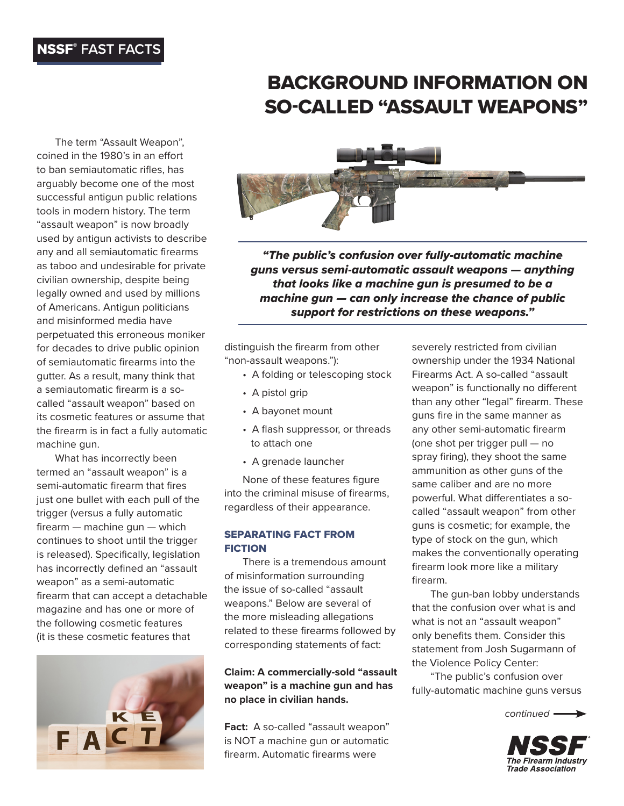# NSSF® **FAST FACTS**

# BACKGROUND INFORMATION ON SO-CALLED "ASSAULT WEAPONS"

The term "Assault Weapon", coined in the 1980's in an effort to ban semiautomatic rifles, has arguably become one of the most successful antigun public relations tools in modern history. The term "assault weapon" is now broadly used by antigun activists to describe any and all semiautomatic firearms as taboo and undesirable for private civilian ownership, despite being legally owned and used by millions of Americans. Antigun politicians and misinformed media have perpetuated this erroneous moniker for decades to drive public opinion of semiautomatic firearms into the gutter. As a result, many think that a semiautomatic firearm is a socalled "assault weapon" based on its cosmetic features or assume that the firearm is in fact a fully automatic machine gun.

What has incorrectly been termed an "assault weapon" is a semi-automatic firearm that fires just one bullet with each pull of the trigger (versus a fully automatic firearm — machine gun — which continues to shoot until the trigger is released). Specifically, legislation has incorrectly defined an "assault weapon" as a semi-automatic firearm that can accept a detachable magazine and has one or more of the following cosmetic features (it is these cosmetic features that





*"The public's confusion over fully-automatic machine guns versus semi-automatic assault weapons — anything that looks like a machine gun is presumed to be a machine gun — can only increase the chance of public support for restrictions on these weapons."*

distinguish the firearm from other "non-assault weapons."):

- A folding or telescoping stock
- A pistol grip
- A bayonet mount
- A flash suppressor, or threads to attach one
- A grenade launcher

None of these features figure into the criminal misuse of firearms, regardless of their appearance.

#### SEPARATING FACT FROM **FICTION**

There is a tremendous amount of misinformation surrounding the issue of so-called "assault weapons." Below are several of the more misleading allegations related to these firearms followed by corresponding statements of fact:

**Claim: A commercially-sold "assault weapon" is a machine gun and has no place in civilian hands.**

Fact: A so-called "assault weapon" is NOT a machine gun or automatic firearm. Automatic firearms were

severely restricted from civilian ownership under the 1934 National Firearms Act. A so-called "assault weapon" is functionally no different than any other "legal" firearm. These guns fire in the same manner as any other semi-automatic firearm (one shot per trigger pull — no spray firing), they shoot the same ammunition as other guns of the same caliber and are no more powerful. What differentiates a socalled "assault weapon" from other guns is cosmetic; for example, the type of stock on the gun, which makes the conventionally operating firearm look more like a military firearm.

The gun-ban lobby understands that the confusion over what is and what is not an "assault weapon" only benefits them. Consider this statement from Josh Sugarmann of the Violence Policy Center:

"The public's confusion over fully-automatic machine guns versus